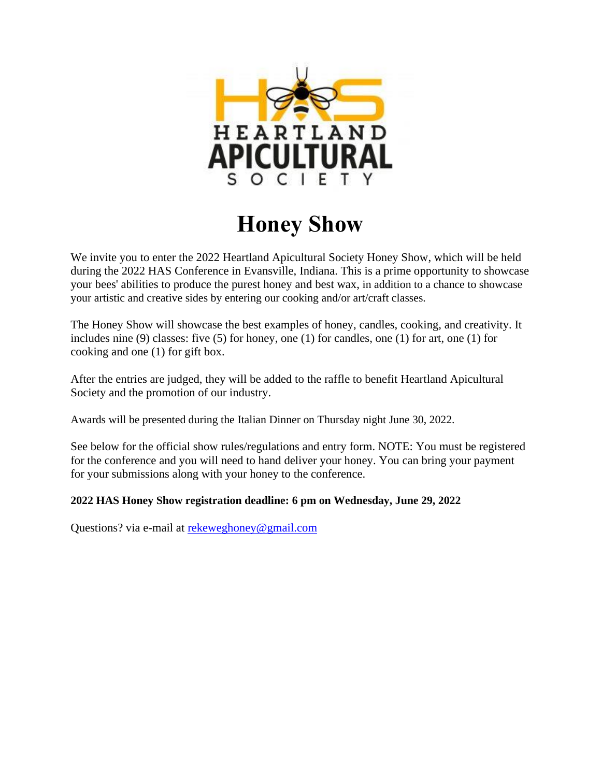

# **Honey Show**

We invite you to enter the 2022 Heartland Apicultural Society Honey Show, which will be held during the 2022 HAS Conference in Evansville, Indiana. This is a prime opportunity to showcase your bees' abilities to produce the purest honey and best wax, in addition to a chance to showcase your artistic and creative sides by entering our cooking and/or art/craft classes.

The Honey Show will showcase the best examples of honey, candles, cooking, and creativity. It includes nine (9) classes: five (5) for honey, one (1) for candles, one (1) for art, one (1) for cooking and one (1) for gift box.

After the entries are judged, they will be added to the raffle to benefit Heartland Apicultural Society and the promotion of our industry.

Awards will be presented during the Italian Dinner on Thursday night June 30, 2022.

See below for the official show rules/regulations and entry form. NOTE: You must be registered for the conference and you will need to hand deliver your honey. You can bring your payment for your submissions along with your honey to the conference.

### **2022 HAS Honey Show registration deadline: 6 pm on Wednesday, June 29, 2022**

Questions? via e-mail at [rekeweghoney@gmail.com](mailto:rekeweghoney@gmail.com)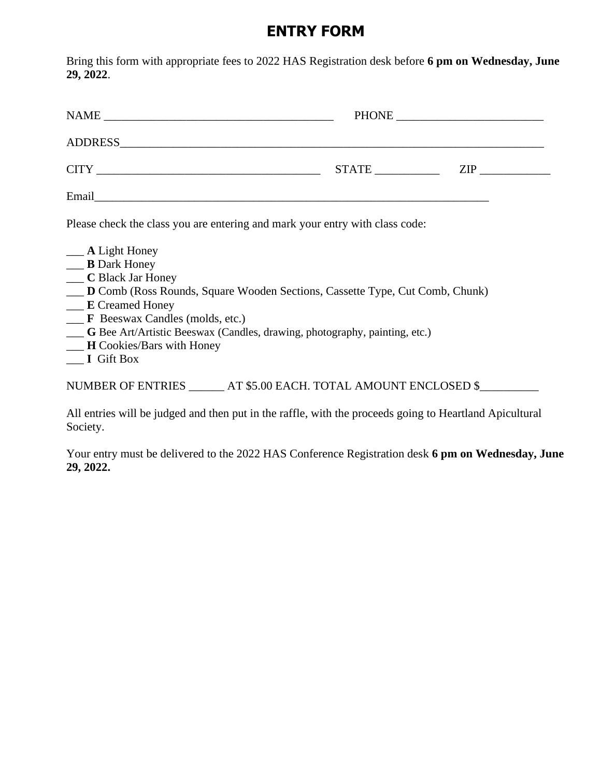## **ENTRY FORM**

Bring this form with appropriate fees to 2022 HAS Registration desk before **6 pm on Wednesday, June 29, 2022**.

| <b>NAME</b>     | PHONE | <u> 1980 - Jan Sterling von Berling von Berling von Berling von Berling von Berling von Berling von Berling von B</u> |
|-----------------|-------|-----------------------------------------------------------------------------------------------------------------------|
| ADDRESS ADDRESS |       |                                                                                                                       |
| <b>CITY</b>     | STATE | ZIP                                                                                                                   |
| Email           |       |                                                                                                                       |

Please check the class you are entering and mark your entry with class code:

- \_\_\_ **A** Light Honey
- \_\_\_ **B** Dark Honey
- \_\_\_ **C** Black Jar Honey
- \_\_\_ **D** Comb (Ross Rounds, Square Wooden Sections, Cassette Type, Cut Comb, Chunk)
- \_\_\_ **E** Creamed Honey
- \_\_\_ **F** Beeswax Candles (molds, etc.)
- \_\_\_ **G** Bee Art/Artistic Beeswax (Candles, drawing, photography, painting, etc.)
- \_\_\_ **H** Cookies/Bars with Honey
- \_\_\_ **I** Gift Box

NUMBER OF ENTRIES \_\_\_\_\_\_ AT \$5.00 EACH. TOTAL AMOUNT ENCLOSED \$\_\_\_\_\_\_\_\_\_\_\_\_\_\_\_\_\_

All entries will be judged and then put in the raffle, with the proceeds going to Heartland Apicultural Society.

Your entry must be delivered to the 2022 HAS Conference Registration desk **6 pm on Wednesday, June 29, 2022.**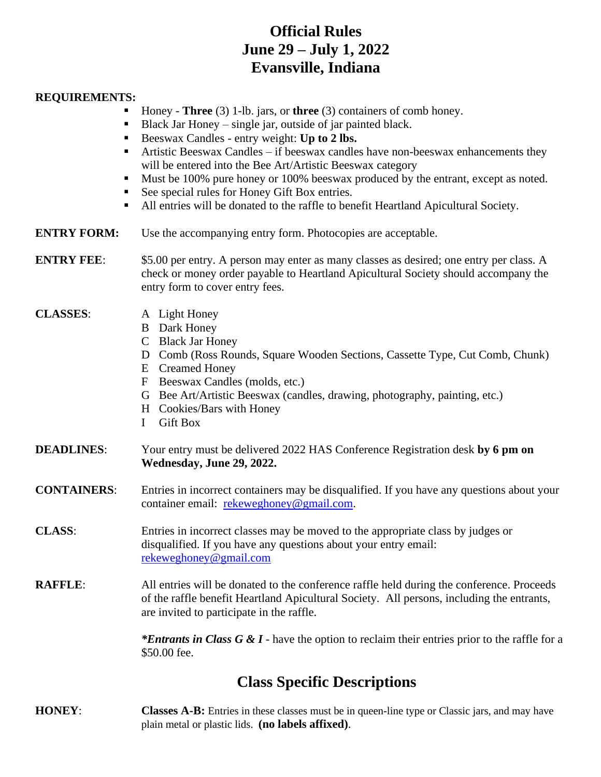## **Official Rules June 29 – July 1, 2022 Evansville, Indiana**

#### **REQUIREMENTS:**

- Honey **Three** (3) 1-lb. jars, or **three** (3) containers of comb honey.
- Black Jar Honey single jar, outside of jar painted black.
- Beeswax Candles entry weight: **Up to 2 lbs.**
- **EXECUTE:** Artistic Beeswax Candles if beeswax candles have non-beeswax enhancements they will be entered into the Bee Art/Artistic Beeswax category
- Must be 100% pure honey or 100% beeswax produced by the entrant, except as noted.
- See special rules for Honey Gift Box entries.
- All entries will be donated to the raffle to benefit Heartland Apicultural Society.
- **ENTRY FORM:** Use the accompanying entry form. Photocopies are acceptable.

**ENTRY FEE:** \$5.00 per entry. A person may enter as many classes as desired; one entry per class. A check or money order payable to Heartland Apicultural Society should accompany the entry form to cover entry fees.

#### **CLASSES**: A Light Honey

- B Dark Honey
- C Black Jar Honey
- D Comb (Ross Rounds, Square Wooden Sections, Cassette Type, Cut Comb, Chunk)
- E Creamed Honey
- F Beeswax Candles (molds, etc.)
- G Bee Art/Artistic Beeswax (candles, drawing, photography, painting, etc.)
- H Cookies/Bars with Honey
- I Gift Box
- **DEADLINES**: Your entry must be delivered 2022 HAS Conference Registration desk **by 6 pm on Wednesday, June 29, 2022.**
- **CONTAINERS**: Entries in incorrect containers may be disqualified. If you have any questions about your container email: [rekeweghoney@gmail.com.](mailto:rekeweghoney@gmail.com)
- **CLASS**: Entries in incorrect classes may be moved to the appropriate class by judges or disqualified. If you have any questions about your entry email: [rekeweghoney@gmail.com](mailto:rekeweghoney@gmail.com)
- **RAFFLE**: All entries will be donated to the conference raffle held during the conference. Proceeds of the raffle benefit Heartland Apicultural Society. All persons, including the entrants, are invited to participate in the raffle.

*\*Entrants in Class G & I* - have the option to reclaim their entries prior to the raffle for a \$50.00 fee.

## **Class Specific Descriptions**

**HONEY**: **Classes A-B:** Entries in these classes must be in queen-line type or Classic jars, and may have plain metal or plastic lids. **(no labels affixed)**.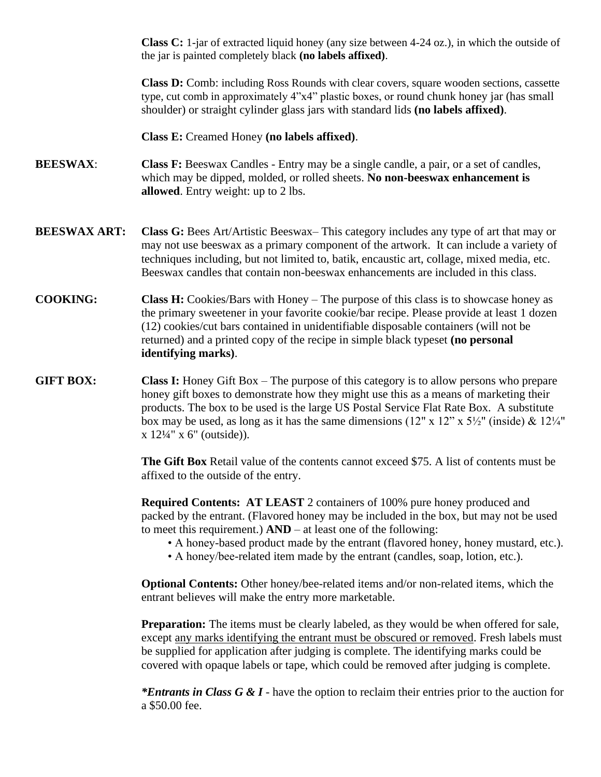**Class C:** 1-jar of extracted liquid honey (any size between 4-24 oz.), in which the outside of the jar is painted completely black **(no labels affixed)**.

**Class D:** Comb: including Ross Rounds with clear covers, square wooden sections, cassette type, cut comb in approximately 4"x4" plastic boxes, or round chunk honey jar (has small shoulder) or straight cylinder glass jars with standard lids **(no labels affixed)**.

#### **Class E:** Creamed Honey **(no labels affixed)**.

- **BEESWAX: Class F:** Beeswax Candles Entry may be a single candle, a pair, or a set of candles, which may be dipped, molded, or rolled sheets. **No non-beeswax enhancement is allowed**. Entry weight: up to 2 lbs.
- **BEESWAX ART:** Class G: Bees Art/Artistic Beeswax– This category includes any type of art that may or may not use beeswax as a primary component of the artwork. It can include a variety of techniques including, but not limited to, batik, encaustic art, collage, mixed media, etc. Beeswax candles that contain non-beeswax enhancements are included in this class.
- **COOKING: Class H:** Cookies/Bars with Honey The purpose of this class is to showcase honey as the primary sweetener in your favorite cookie/bar recipe. Please provide at least 1 dozen (12) cookies/cut bars contained in unidentifiable disposable containers (will not be returned) and a printed copy of the recipe in simple black typeset **(no personal identifying marks)**.
- **GIFT BOX:** Class I: Honey Gift Box The purpose of this category is to allow persons who prepare honey gift boxes to demonstrate how they might use this as a means of marketing their products. The box to be used is the large US Postal Service Flat Rate Box. A substitute box may be used, as long as it has the same dimensions  $(12'' \times 12'' \times 5\frac{1}{2}''$  (inside) &  $12\frac{1}{4}''$ x 12¼" x 6" (outside)).

**The Gift Box** Retail value of the contents cannot exceed \$75. A list of contents must be affixed to the outside of the entry.

**Required Contents: AT LEAST** 2 containers of 100% pure honey produced and packed by the entrant. (Flavored honey may be included in the box, but may not be used to meet this requirement.) **AND** – at least one of the following:

- A honey-based product made by the entrant (flavored honey, honey mustard, etc.).
- A honey/bee-related item made by the entrant (candles, soap, lotion, etc.).

**Optional Contents:** Other honey/bee-related items and/or non-related items, which the entrant believes will make the entry more marketable.

**Preparation:** The items must be clearly labeled, as they would be when offered for sale, except any marks identifying the entrant must be obscured or removed. Fresh labels must be supplied for application after judging is complete. The identifying marks could be covered with opaque labels or tape, which could be removed after judging is complete.

*\*Entrants in Class G & I* - have the option to reclaim their entries prior to the auction for a \$50.00 fee.